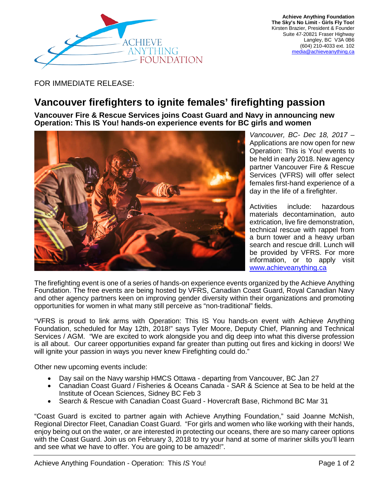

**Achieve Anything Foundation The Sky's No Limit - Girls Fly Too!** Kirsten Brazier, President & Founder Suite 47-20821 Fraser Highway Langley, BC V3A 0B6 (604) 210-4033 ext. 102 [media@achieveanything.ca](mailto:media@achieveanything.ca)

FOR IMMEDIATE RELEASE:

## **Vancouver firefighters to ignite females' firefighting passion**

**Vancouver Fire & Rescue Services joins Coast Guard and Navy in announcing new Operation: This IS You! hands-on experience events for BC girls and women**



*Vancouver, BC- Dec 18, 2017 –* Applications are now open for new Operation: This is You! events to be held in early 2018. New agency partner Vancouver Fire & Rescue Services (VFRS) will offer select females first-hand experience of a day in the life of a firefighter.

Activities include: hazardous materials decontamination, auto extrication, live fire demonstration, technical rescue with rappel from a burn tower and a heavy urban search and rescue drill. Lunch will be provided by VFRS. For more information, or to apply visit [www.achieveanything.ca](http://www.achieveanything.ca/)

The firefighting event is one of a series of hands-on experience events organized by the Achieve Anything Foundation. The free events are being hosted by VFRS, Canadian Coast Guard, Royal Canadian Navy and other agency partners keen on improving gender diversity within their organizations and promoting opportunities for women in what many still perceive as "non-traditional" fields.

"VFRS is proud to link arms with Operation: This IS You hands-on event with Achieve Anything Foundation, scheduled for May 12th, 2018!" says Tyler Moore, Deputy Chief, Planning and Technical Services / AGM. "We are excited to work alongside you and dig deep into what this diverse profession is all about. Our career opportunities expand far greater than putting out fires and kicking in doors! We will ignite your passion in ways you never knew Firefighting could do."

Other new upcoming events include:

- Day sail on the Navy warship HMCS Ottawa departing from Vancouver, BC Jan 27
- Canadian Coast Guard / Fisheries & Oceans Canada SAR & Science at Sea to be held at the Institute of Ocean Sciences, Sidney BC Feb 3
- Search & Rescue with Canadian Coast Guard Hovercraft Base, Richmond BC Mar 31

"Coast Guard is excited to partner again with Achieve Anything Foundation," said Joanne McNish, Regional Director Fleet, Canadian Coast Guard. "For girls and women who like working with their hands, enjoy being out on the water, or are interested in protecting our oceans, there are so many career options with the Coast Guard. Join us on February 3, 2018 to try your hand at some of mariner skills you'll learn and see what we have to offer. You are going to be amazed!".